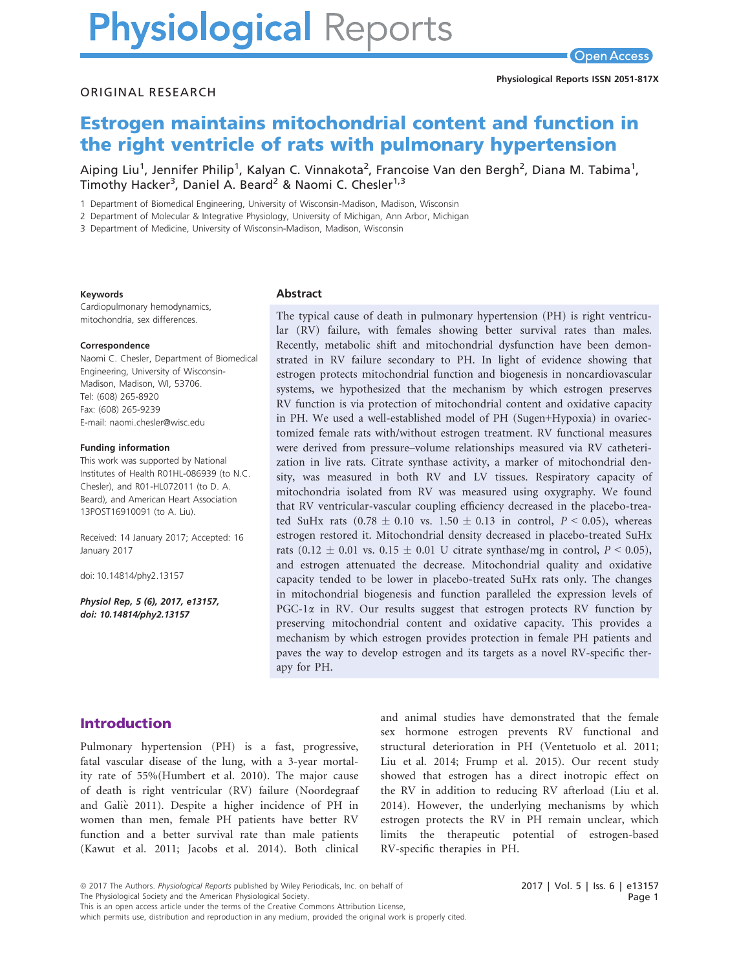# **Physiological Reports**

#### ORIGINAL RESEARCH

# Estrogen maintains mitochondrial content and function in the right ventricle of rats with pulmonary hypertension

Aiping Liu<sup>1</sup>, Jennifer Philip<sup>1</sup>, Kalyan C. Vinnakota<sup>2</sup>, Francoise Van den Bergh<sup>2</sup>, Diana M. Tabima<sup>1</sup>, Timothy Hacker<sup>3</sup>, Daniel A. Beard<sup>2</sup> & Naomi C. Chesler<sup>1,3</sup>

1 Department of Biomedical Engineering, University of Wisconsin-Madison, Madison, Wisconsin

2 Department of Molecular & Integrative Physiology, University of Michigan, Ann Arbor, Michigan

3 Department of Medicine, University of Wisconsin-Madison, Madison, Wisconsin

#### Keywords

Cardiopulmonary hemodynamics, mitochondria, sex differences.

#### Correspondence

Naomi C. Chesler, Department of Biomedical Engineering, University of Wisconsin-Madison, Madison, WI, 53706. Tel: (608) 265-8920 Fax: (608) 265-9239 E-mail: naomi.chesler@wisc.edu

#### Funding information

This work was supported by National Institutes of Health R01HL-086939 (to N.C. Chesler), and R01-HL072011 (to D. A. Beard), and American Heart Association 13POST16910091 (to A. Liu).

Received: 14 January 2017; Accepted: 16 January 2017

doi: 10.14814/phy2.13157

Physiol Rep, 5 (6), 2017, e13157, doi: [10.14814/phy2.13157](info:doi/10.14814/phy2.13157)

#### Abstract

The typical cause of death in pulmonary hypertension (PH) is right ventricular (RV) failure, with females showing better survival rates than males. Recently, metabolic shift and mitochondrial dysfunction have been demonstrated in RV failure secondary to PH. In light of evidence showing that estrogen protects mitochondrial function and biogenesis in noncardiovascular systems, we hypothesized that the mechanism by which estrogen preserves RV function is via protection of mitochondrial content and oxidative capacity in PH. We used a well-established model of PH (Sugen+Hypoxia) in ovariectomized female rats with/without estrogen treatment. RV functional measures were derived from pressure–volume relationships measured via RV catheterization in live rats. Citrate synthase activity, a marker of mitochondrial density, was measured in both RV and LV tissues. Respiratory capacity of mitochondria isolated from RV was measured using oxygraphy. We found that RV ventricular-vascular coupling efficiency decreased in the placebo-treated SuHx rats  $(0.78 \pm 0.10 \text{ vs. } 1.50 \pm 0.13 \text{ in control, } P < 0.05)$ , whereas estrogen restored it. Mitochondrial density decreased in placebo-treated SuHx rats  $(0.12 \pm 0.01 \text{ vs. } 0.15 \pm 0.01 \text{ U}$  citrate synthase/mg in control,  $P < 0.05$ ), and estrogen attenuated the decrease. Mitochondrial quality and oxidative capacity tended to be lower in placebo-treated SuHx rats only. The changes in mitochondrial biogenesis and function paralleled the expression levels of PGC-1 $\alpha$  in RV. Our results suggest that estrogen protects RV function by preserving mitochondrial content and oxidative capacity. This provides a mechanism by which estrogen provides protection in female PH patients and paves the way to develop estrogen and its targets as a novel RV-specific therapy for PH.

# Introduction

Pulmonary hypertension (PH) is a fast, progressive, fatal vascular disease of the lung, with a 3-year mortality rate of 55%(Humbert et al. 2010). The major cause of death is right ventricular (RV) failure (Noordegraaf and Galie 2011). Despite a higher incidence of PH in women than men, female PH patients have better RV function and a better survival rate than male patients (Kawut et al. 2011; Jacobs et al. 2014). Both clinical and animal studies have demonstrated that the female sex hormone estrogen prevents RV functional and structural deterioration in PH (Ventetuolo et al. 2011; Liu et al. 2014; Frump et al. 2015). Our recent study showed that estrogen has a direct inotropic effect on the RV in addition to reducing RV afterload (Liu et al. 2014). However, the underlying mechanisms by which estrogen protects the RV in PH remain unclear, which limits the therapeutic potential of estrogen-based RV-specific therapies in PH.

This is an open access article under the terms of the [Creative Commons Attribution](http://creativecommons.org/licenses/by/4.0/) License,

which permits use, distribution and reproduction in any medium, provided the original work is properly cited.

<sup>ª</sup> 2017 The Authors. Physiological Reports published by Wiley Periodicals, Inc. on behalf of

The Physiological Society and the American Physiological Society.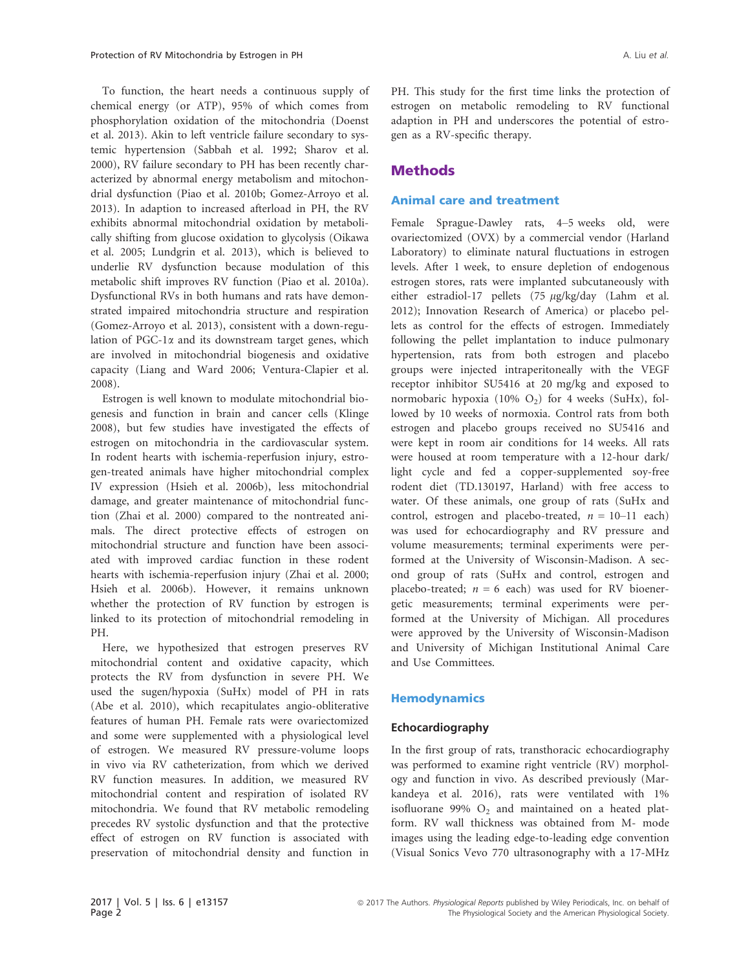To function, the heart needs a continuous supply of chemical energy (or ATP), 95% of which comes from phosphorylation oxidation of the mitochondria (Doenst et al. 2013). Akin to left ventricle failure secondary to systemic hypertension (Sabbah et al. 1992; Sharov et al. 2000), RV failure secondary to PH has been recently characterized by abnormal energy metabolism and mitochondrial dysfunction (Piao et al. 2010b; Gomez-Arroyo et al. 2013). In adaption to increased afterload in PH, the RV exhibits abnormal mitochondrial oxidation by metabolically shifting from glucose oxidation to glycolysis (Oikawa et al. 2005; Lundgrin et al. 2013), which is believed to underlie RV dysfunction because modulation of this metabolic shift improves RV function (Piao et al. 2010a). Dysfunctional RVs in both humans and rats have demonstrated impaired mitochondria structure and respiration (Gomez-Arroyo et al. 2013), consistent with a down-regulation of PGC-1 $\alpha$  and its downstream target genes, which are involved in mitochondrial biogenesis and oxidative capacity (Liang and Ward 2006; Ventura-Clapier et al. 2008).

Estrogen is well known to modulate mitochondrial biogenesis and function in brain and cancer cells (Klinge 2008), but few studies have investigated the effects of estrogen on mitochondria in the cardiovascular system. In rodent hearts with ischemia-reperfusion injury, estrogen-treated animals have higher mitochondrial complex IV expression (Hsieh et al. 2006b), less mitochondrial damage, and greater maintenance of mitochondrial function (Zhai et al. 2000) compared to the nontreated animals. The direct protective effects of estrogen on mitochondrial structure and function have been associated with improved cardiac function in these rodent hearts with ischemia-reperfusion injury (Zhai et al. 2000; Hsieh et al. 2006b). However, it remains unknown whether the protection of RV function by estrogen is linked to its protection of mitochondrial remodeling in PH.

Here, we hypothesized that estrogen preserves RV mitochondrial content and oxidative capacity, which protects the RV from dysfunction in severe PH. We used the sugen/hypoxia (SuHx) model of PH in rats (Abe et al. 2010), which recapitulates angio-obliterative features of human PH. Female rats were ovariectomized and some were supplemented with a physiological level of estrogen. We measured RV pressure-volume loops in vivo via RV catheterization, from which we derived RV function measures. In addition, we measured RV mitochondrial content and respiration of isolated RV mitochondria. We found that RV metabolic remodeling precedes RV systolic dysfunction and that the protective effect of estrogen on RV function is associated with preservation of mitochondrial density and function in PH. This study for the first time links the protection of estrogen on metabolic remodeling to RV functional adaption in PH and underscores the potential of estrogen as a RV-specific therapy.

## **Methods**

#### Animal care and treatment

Female Sprague-Dawley rats, 4–5 weeks old, were ovariectomized (OVX) by a commercial vendor (Harland Laboratory) to eliminate natural fluctuations in estrogen levels. After 1 week, to ensure depletion of endogenous estrogen stores, rats were implanted subcutaneously with either estradiol-17 pellets  $(75 \text{ µg/kg/day}$  (Lahm et al. 2012); Innovation Research of America) or placebo pellets as control for the effects of estrogen. Immediately following the pellet implantation to induce pulmonary hypertension, rats from both estrogen and placebo groups were injected intraperitoneally with the VEGF receptor inhibitor SU5416 at 20 mg/kg and exposed to normobaric hypoxia (10%  $O_2$ ) for 4 weeks (SuHx), followed by 10 weeks of normoxia. Control rats from both estrogen and placebo groups received no SU5416 and were kept in room air conditions for 14 weeks. All rats were housed at room temperature with a 12-hour dark/ light cycle and fed a copper-supplemented soy-free rodent diet (TD.130197, Harland) with free access to water. Of these animals, one group of rats (SuHx and control, estrogen and placebo-treated,  $n = 10-11$  each) was used for echocardiography and RV pressure and volume measurements; terminal experiments were performed at the University of Wisconsin-Madison. A second group of rats (SuHx and control, estrogen and placebo-treated;  $n = 6$  each) was used for RV bioenergetic measurements; terminal experiments were performed at the University of Michigan. All procedures were approved by the University of Wisconsin-Madison and University of Michigan Institutional Animal Care and Use Committees.

#### **Hemodynamics**

#### Echocardiography

In the first group of rats, transthoracic echocardiography was performed to examine right ventricle (RV) morphology and function in vivo. As described previously (Markandeya et al. 2016), rats were ventilated with 1% isofluorane 99%  $O_2$  and maintained on a heated platform. RV wall thickness was obtained from M- mode images using the leading edge-to-leading edge convention (Visual Sonics Vevo 770 ultrasonography with a 17-MHz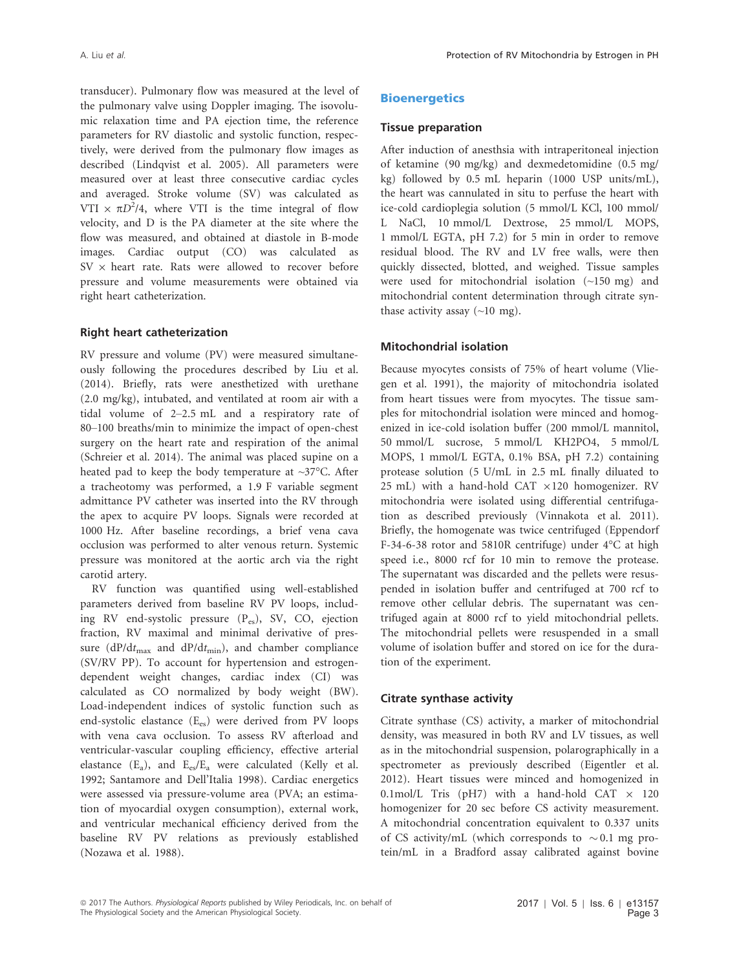transducer). Pulmonary flow was measured at the level of the pulmonary valve using Doppler imaging. The isovolumic relaxation time and PA ejection time, the reference parameters for RV diastolic and systolic function, respectively, were derived from the pulmonary flow images as described (Lindqvist et al. 2005). All parameters were measured over at least three consecutive cardiac cycles and averaged. Stroke volume (SV) was calculated as VTI  $\times \pi D^2/4$ , where VTI is the time integral of flow velocity, and D is the PA diameter at the site where the flow was measured, and obtained at diastole in B-mode images. Cardiac output (CO) was calculated as  $SV \times$  heart rate. Rats were allowed to recover before pressure and volume measurements were obtained via right heart catheterization.

#### Right heart catheterization

RV pressure and volume (PV) were measured simultaneously following the procedures described by Liu et al. (2014). Briefly, rats were anesthetized with urethane (2.0 mg/kg), intubated, and ventilated at room air with a tidal volume of 2–2.5 mL and a respiratory rate of 80–100 breaths/min to minimize the impact of open-chest surgery on the heart rate and respiration of the animal (Schreier et al. 2014). The animal was placed supine on a heated pad to keep the body temperature at ~37°C. After a tracheotomy was performed, a 1.9 F variable segment admittance PV catheter was inserted into the RV through the apex to acquire PV loops. Signals were recorded at 1000 Hz. After baseline recordings, a brief vena cava occlusion was performed to alter venous return. Systemic pressure was monitored at the aortic arch via the right carotid artery.

RV function was quantified using well-established parameters derived from baseline RV PV loops, including RV end-systolic pressure (Pes), SV, CO, ejection fraction, RV maximal and minimal derivative of pressure ( $dP/dt_{max}$  and  $dP/dt_{min}$ ), and chamber compliance (SV/RV PP). To account for hypertension and estrogendependent weight changes, cardiac index (CI) was calculated as CO normalized by body weight (BW). Load-independent indices of systolic function such as end-systolic elastance (Ees) were derived from PV loops with vena cava occlusion. To assess RV afterload and ventricular-vascular coupling efficiency, effective arterial elastance  $(E_a)$ , and  $E_{es}/E_a$  were calculated (Kelly et al. 1992; Santamore and Dell'Italia 1998). Cardiac energetics were assessed via pressure-volume area (PVA; an estimation of myocardial oxygen consumption), external work, and ventricular mechanical efficiency derived from the baseline RV PV relations as previously established (Nozawa et al. 1988).

## **Bioenergetics**

#### Tissue preparation

After induction of anesthsia with intraperitoneal injection of ketamine (90 mg/kg) and dexmedetomidine (0.5 mg/ kg) followed by 0.5 mL heparin (1000 USP units/mL), the heart was cannulated in situ to perfuse the heart with ice-cold cardioplegia solution (5 mmol/L KCl, 100 mmol/ L NaCl, 10 mmol/L Dextrose, 25 mmol/L MOPS, 1 mmol/L EGTA, pH 7.2) for 5 min in order to remove residual blood. The RV and LV free walls, were then quickly dissected, blotted, and weighed. Tissue samples were used for mitochondrial isolation (~150 mg) and mitochondrial content determination through citrate synthase activity assay  $(\sim10 \text{ mg})$ .

#### Mitochondrial isolation

Because myocytes consists of 75% of heart volume (Vliegen et al. 1991), the majority of mitochondria isolated from heart tissues were from myocytes. The tissue samples for mitochondrial isolation were minced and homogenized in ice-cold isolation buffer (200 mmol/L mannitol, 50 mmol/L sucrose, 5 mmol/L KH2PO4, 5 mmol/L MOPS, 1 mmol/L EGTA, 0.1% BSA, pH 7.2) containing protease solution (5 U/mL in 2.5 mL finally diluated to 25 mL) with a hand-hold CAT  $\times$ 120 homogenizer. RV mitochondria were isolated using differential centrifugation as described previously (Vinnakota et al. 2011). Briefly, the homogenate was twice centrifuged (Eppendorf F-34-6-38 rotor and 5810R centrifuge) under 4°C at high speed i.e., 8000 rcf for 10 min to remove the protease. The supernatant was discarded and the pellets were resuspended in isolation buffer and centrifuged at 700 rcf to remove other cellular debris. The supernatant was centrifuged again at 8000 rcf to yield mitochondrial pellets. The mitochondrial pellets were resuspended in a small volume of isolation buffer and stored on ice for the duration of the experiment.

#### Citrate synthase activity

Citrate synthase (CS) activity, a marker of mitochondrial density, was measured in both RV and LV tissues, as well as in the mitochondrial suspension, polarographically in a spectrometer as previously described (Eigentler et al. 2012). Heart tissues were minced and homogenized in 0.1mol/L Tris (pH7) with a hand-hold CAT  $\times$  120 homogenizer for 20 sec before CS activity measurement. A mitochondrial concentration equivalent to 0.337 units of CS activity/mL (which corresponds to  $\sim 0.1$  mg protein/mL in a Bradford assay calibrated against bovine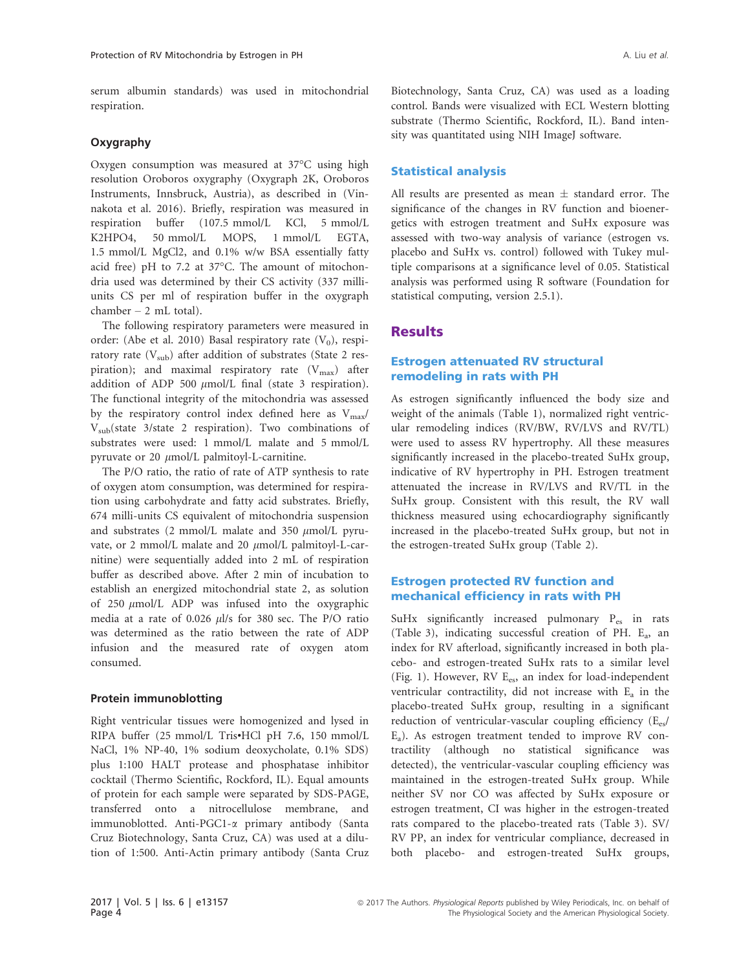serum albumin standards) was used in mitochondrial respiration.

#### Oxygraphy

Oxygen consumption was measured at 37°C using high resolution Oroboros oxygraphy (Oxygraph 2K, Oroboros Instruments, Innsbruck, Austria), as described in (Vinnakota et al. 2016). Briefly, respiration was measured in respiration buffer (107.5 mmol/L KCl, 5 mmol/L K2HPO4, 50 mmol/L MOPS, 1 mmol/L EGTA, 1.5 mmol/L MgCl2, and 0.1% w/w BSA essentially fatty acid free) pH to 7.2 at 37°C. The amount of mitochondria used was determined by their CS activity (337 milliunits CS per ml of respiration buffer in the oxygraph chamber – 2 mL total).

The following respiratory parameters were measured in order: (Abe et al. 2010) Basal respiratory rate  $(V_0)$ , respiratory rate  $(V_{sub})$  after addition of substrates (State 2 respiration); and maximal respiratory rate  $(V_{\text{max}})$  after addition of ADP 500  $\mu$ mol/L final (state 3 respiration). The functional integrity of the mitochondria was assessed by the respiratory control index defined here as  $V_{\text{max}}/$  $V_{sub}(state \; 3/state \; 2 \; respiration).$  Two combinations of substrates were used: 1 mmol/L malate and 5 mmol/L pyruvate or 20  $\mu$ mol/L palmitoyl-L-carnitine.

The P/O ratio, the ratio of rate of ATP synthesis to rate of oxygen atom consumption, was determined for respiration using carbohydrate and fatty acid substrates. Briefly, 674 milli-units CS equivalent of mitochondria suspension and substrates (2 mmol/L malate and 350  $\mu$ mol/L pyruvate, or 2 mmol/L malate and 20  $\mu$ mol/L palmitoyl-L-carnitine) were sequentially added into 2 mL of respiration buffer as described above. After 2 min of incubation to establish an energized mitochondrial state 2, as solution of 250  $\mu$ mol/L ADP was infused into the oxygraphic media at a rate of 0.026 *ul/s* for 380 sec. The P/O ratio was determined as the ratio between the rate of ADP infusion and the measured rate of oxygen atom consumed.

#### Protein immunoblotting

Right ventricular tissues were homogenized and lysed in RIPA buffer (25 mmol/L Tris•HCl pH 7.6, 150 mmol/L NaCl, 1% NP-40, 1% sodium deoxycholate, 0.1% SDS) plus 1:100 HALT protease and phosphatase inhibitor cocktail (Thermo Scientific, Rockford, IL). Equal amounts of protein for each sample were separated by SDS-PAGE, transferred onto a nitrocellulose membrane, and immunoblotted. Anti-PGC1-a primary antibody (Santa Cruz Biotechnology, Santa Cruz, CA) was used at a dilution of 1:500. Anti-Actin primary antibody (Santa Cruz Biotechnology, Santa Cruz, CA) was used as a loading control. Bands were visualized with ECL Western blotting substrate (Thermo Scientific, Rockford, IL). Band intensity was quantitated using NIH ImageJ software.

#### Statistical analysis

All results are presented as mean  $\pm$  standard error. The significance of the changes in RV function and bioenergetics with estrogen treatment and SuHx exposure was assessed with two-way analysis of variance (estrogen vs. placebo and SuHx vs. control) followed with Tukey multiple comparisons at a significance level of 0.05. Statistical analysis was performed using R software (Foundation for statistical computing, version 2.5.1).

# **Results**

#### Estrogen attenuated RV structural remodeling in rats with PH

As estrogen significantly influenced the body size and weight of the animals (Table 1), normalized right ventricular remodeling indices (RV/BW, RV/LVS and RV/TL) were used to assess RV hypertrophy. All these measures significantly increased in the placebo-treated SuHx group, indicative of RV hypertrophy in PH. Estrogen treatment attenuated the increase in RV/LVS and RV/TL in the SuHx group. Consistent with this result, the RV wall thickness measured using echocardiography significantly increased in the placebo-treated SuHx group, but not in the estrogen-treated SuHx group (Table 2).

#### Estrogen protected RV function and mechanical efficiency in rats with PH

SuHx significantly increased pulmonary Pes in rats (Table 3), indicating successful creation of PH.  $E_a$ , an index for RV afterload, significantly increased in both placebo- and estrogen-treated SuHx rats to a similar level (Fig. 1). However, RV E<sub>es</sub>, an index for load-independent ventricular contractility, did not increase with  $E_a$  in the placebo-treated SuHx group, resulting in a significant reduction of ventricular-vascular coupling efficiency (Ees/  $E_a$ ). As estrogen treatment tended to improve RV contractility (although no statistical significance was detected), the ventricular-vascular coupling efficiency was maintained in the estrogen-treated SuHx group. While neither SV nor CO was affected by SuHx exposure or estrogen treatment, CI was higher in the estrogen-treated rats compared to the placebo-treated rats (Table 3). SV/ RV PP, an index for ventricular compliance, decreased in both placebo- and estrogen-treated SuHx groups,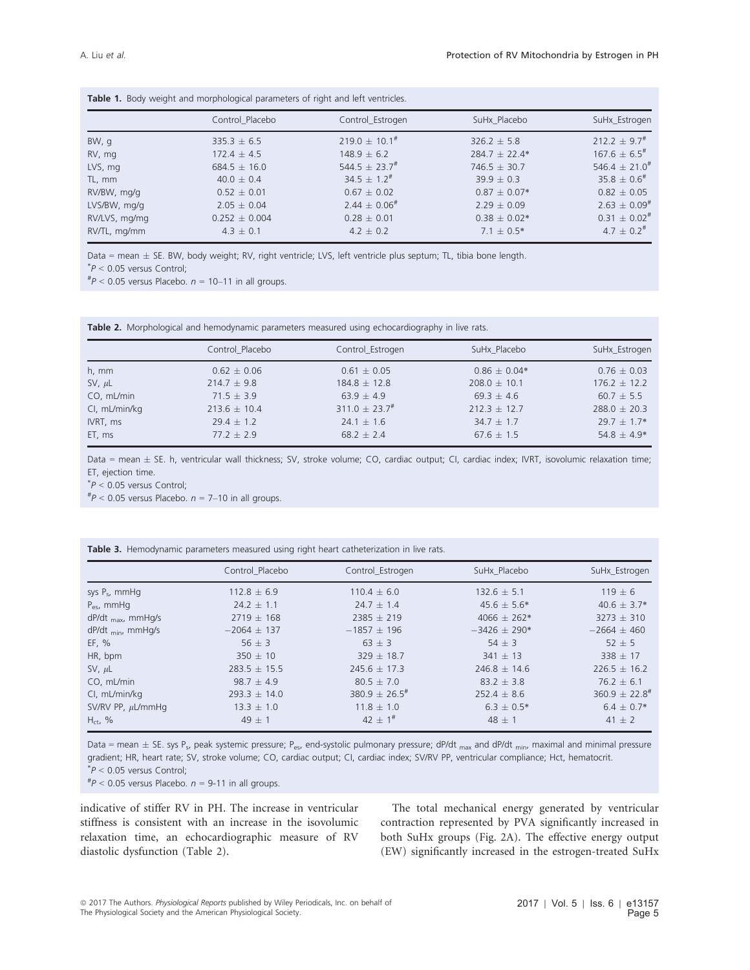| <b>Table 1.</b> Doug weight and morphological parameters of hight and left ventures. |                   |                       |                   |                              |  |  |  |
|--------------------------------------------------------------------------------------|-------------------|-----------------------|-------------------|------------------------------|--|--|--|
|                                                                                      | Control Placebo   | Control Estrogen      | SuHx Placebo      | SuHx Estrogen                |  |  |  |
| BW, q                                                                                | $335.3 \pm 6.5$   | $219.0 \pm 10.1^{\#}$ | $326.2 \pm 5.8$   | $212.2 + 9.7^{\#}$           |  |  |  |
| RV, mg                                                                               | $172.4 \pm 4.5$   | $148.9 \pm 6.2$       | $284.7 \pm 22.4*$ | $167.6 \pm 6.5$ #            |  |  |  |
| LVS, mg                                                                              | $684.5 \pm 16.0$  | $544.5 + 23.7^{\#}$   | $746.5 + 30.7$    | $546.4 + 21.0^{\text{\#}}$   |  |  |  |
| TL, mm                                                                               | $40.0 \pm 0.4$    | $34.5 \pm 1.2^{\#}$   | $39.9 + 0.3$      | $35.8 \pm 0.6^{\#}$          |  |  |  |
| RV/BW, mg/g                                                                          | $0.52 \pm 0.01$   | $0.67 \pm 0.02$       | $0.87 \pm 0.07*$  | $0.82 \pm 0.05$              |  |  |  |
| LVS/BW, mg/g                                                                         | $2.05 \pm 0.04$   | $2.44 \pm 0.06^{\#}$  | $2.29 \pm 0.09$   | $2.63 \pm 0.09$ <sup>#</sup> |  |  |  |
| RV/LVS, mg/mg                                                                        | $0.252 \pm 0.004$ | $0.28 \pm 0.01$       | $0.38 \pm 0.02*$  | $0.31 \pm 0.02$ <sup>#</sup> |  |  |  |
| RV/TL, mg/mm                                                                         | $4.3 \pm 0.1$     | $4.2 \pm 0.2$         | $7.1 \pm 0.5*$    | $4.7 \pm 0.2$ <sup>#</sup>   |  |  |  |

Table 1. Body weight and morphological parameters of right and left ventricles

Data = mean  $\pm$  SE. BW, body weight; RV, right ventricle; LVS, left ventricle plus septum; TL, tibia bone length.

 $P < 0.05$  versus Control;

 $^{#}P$  < 0.05 versus Placebo.  $n = 10-11$  in all groups.

Table 2. Morphological and hemodynamic parameters measured using echocardiography in live rats.

|               | Control Placebo  | Control Estrogen      | SuHx Placebo     | SuHx_Estrogen    |  |
|---------------|------------------|-----------------------|------------------|------------------|--|
| $h, \, mm$    | $0.62 \pm 0.06$  | $0.61 \pm 0.05$       | $0.86 \pm 0.04*$ | $0.76 \pm 0.03$  |  |
| SV, $\mu L$   | $214.7 \pm 9.8$  | $184.8 \pm 12.8$      | $208.0 \pm 10.1$ | $176.2 \pm 12.2$ |  |
| CO, mL/min    | $71.5 \pm 3.9$   | $63.9 \pm 4.9$        | $69.3 \pm 4.6$   | $60.7 \pm 5.5$   |  |
| CI, mL/min/kg | $213.6 \pm 10.4$ | $311.0 \pm 23.7^{\#}$ | $212.3 \pm 12.7$ | $288.0 \pm 20.3$ |  |
| IVRT, ms      | $29.4 \pm 1.2$   | $24.1 \pm 1.6$        | $34.7 \pm 1.7$   | $29.7 \pm 1.7*$  |  |
| ET, ms        | $77.2 \pm 2.9$   | $68.2 \pm 2.4$        | $67.6 \pm 1.5$   | 54.8 $\pm$ 4.9*  |  |

Data = mean ± SE. h, ventricular wall thickness; SV, stroke volume; CO, cardiac output; CI, cardiac index; IVRT, isovolumic relaxation time; ET, ejection time.

 $*P < 0.05$  versus Control;<br> $*P < 0.05$  versus Placebo

 $^{#}P$  < 0.05 versus Placebo.  $n = 7$ –10 in all groups.

Table 3. Hemodynamic parameters measured using right heart catheterization in live rats.

|                                 | Control Placebo  | Control Estrogen            | SuHx Placebo     | SuHx Estrogen                 |
|---------------------------------|------------------|-----------------------------|------------------|-------------------------------|
| sys $P_s$ , mmHq                | $112.8 \pm 6.9$  | $110.4 \pm 6.0$             | $132.6 \pm 5.1$  | $119 \pm 6$                   |
| $P_{\text{es}}$ , mmHg          | $24.2 \pm 1.1$   | $24.7 \pm 1.4$              | $45.6 \pm 5.6^*$ | $40.6 \pm 3.7*$               |
| $dP/dt$ <sub>max</sub> , mmHg/s | $2719 \pm 168$   | $2385 + 219$                | $4066 \pm 262*$  | $3273 + 310$                  |
| $dP/dt$ <sub>min</sub> , mmHq/s | $-2064 \pm 137$  | $-1857 + 196$               | $-3426 \pm 290*$ | $-2664 + 460$                 |
| EF, %                           | $56 \pm 3$       | $63 \pm 3$                  | $54 \pm 3$       | $52 \pm 5$                    |
| HR, bpm                         | $350 \pm 10$     | $329 \pm 18.7$              | $341 \pm 13$     | $338 \pm 17$                  |
| SV, $\mu L$                     | $283.5 \pm 15.5$ | $245.6 \pm 17.3$            | $246.8 \pm 14.6$ | $226.5 \pm 16.2$              |
| CO, mL/min                      | $98.7 + 4.9$     | $80.5 \pm 7.0$              | $83.2 \pm 3.8$   | $76.2 \pm 6.1$                |
| CI, mL/min/kg                   | $293.3 \pm 14.0$ | $380.9 + 26.5$ <sup>#</sup> | $252.4 \pm 8.6$  | $360.9 \pm 22.8$ <sup>#</sup> |
| SV/RV PP, $\mu$ L/mmHg          | $13.3 \pm 1.0$   | $11.8 \pm 1.0$              | $6.3 \pm 0.5^*$  | $6.4 \pm 0.7*$                |
| $H_{ct}$ , %                    | $49 \pm 1$       | 42 $\pm$ 1 <sup>#</sup>     | $48 \pm 1$       | $41 \pm 2$                    |

Data = mean  $\pm$  SE. sys P<sub>s</sub>, peak systemic pressure; P<sub>es</sub>, end-systolic pulmonary pressure; dP/dt <sub>max</sub> and dP/dt <sub>min</sub>, maximal and minimal pressure gradient; HR, heart rate; SV, stroke volume; CO, cardiac output; CI, cardiac index; SV/RV PP, ventricular compliance; Hct, hematocrit.  $*P < 0.05$  versus Control;<br> $*P < 0.05$  versus Placebo

 $*P$  < 0.05 versus Placebo.  $n = 9-11$  in all groups.

indicative of stiffer RV in PH. The increase in ventricular stiffness is consistent with an increase in the isovolumic relaxation time, an echocardiographic measure of RV diastolic dysfunction (Table 2).

The total mechanical energy generated by ventricular contraction represented by PVA significantly increased in both SuHx groups (Fig. 2A). The effective energy output (EW) significantly increased in the estrogen-treated SuHx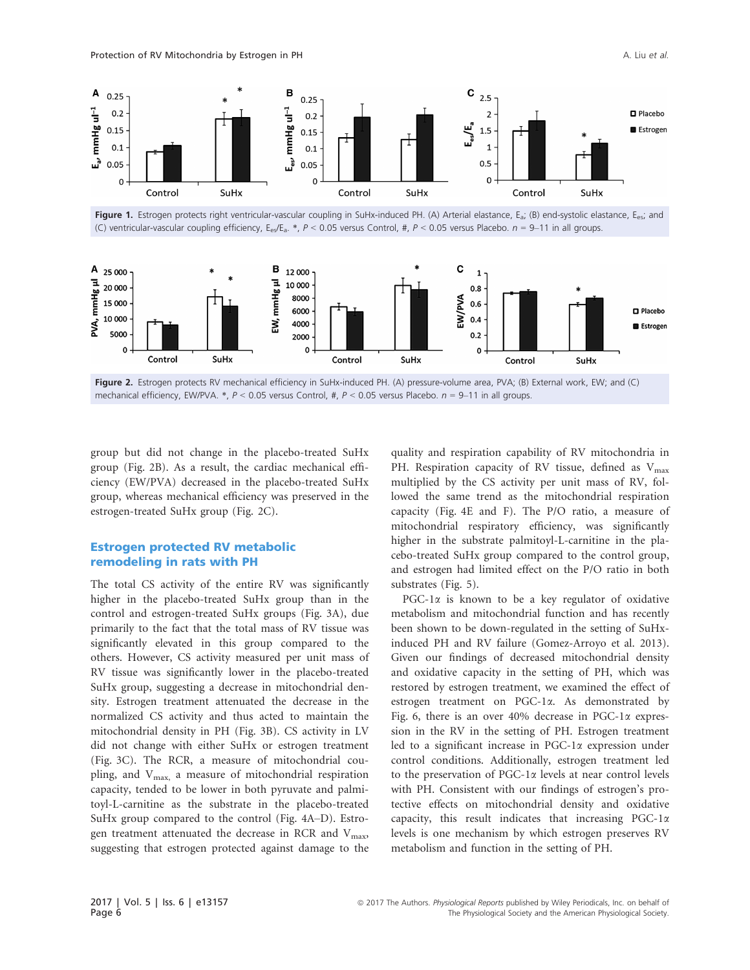

Figure 1. Estrogen protects right ventricular-vascular coupling in SuHx-induced PH. (A) Arterial elastance, E<sub>a</sub>; (B) end-systolic elastance, E<sub>es</sub>; and (C) ventricular-vascular coupling efficiency, E<sub>es</sub>/E<sub>a</sub>. \*, P < 0.05 versus Control, #, P < 0.05 versus Placebo. n = 9-11 in all groups.



Figure 2. Estrogen protects RV mechanical efficiency in SuHx-induced PH. (A) pressure-volume area, PVA; (B) External work, EW; and (C) mechanical efficiency, EW/PVA. \*,  $P < 0.05$  versus Control, #,  $P < 0.05$  versus Placebo.  $n = 9-11$  in all groups.

group but did not change in the placebo-treated SuHx group (Fig. 2B). As a result, the cardiac mechanical efficiency (EW/PVA) decreased in the placebo-treated SuHx group, whereas mechanical efficiency was preserved in the estrogen-treated SuHx group (Fig. 2C).

#### Estrogen protected RV metabolic remodeling in rats with PH

The total CS activity of the entire RV was significantly higher in the placebo-treated SuHx group than in the control and estrogen-treated SuHx groups (Fig. 3A), due primarily to the fact that the total mass of RV tissue was significantly elevated in this group compared to the others. However, CS activity measured per unit mass of RV tissue was significantly lower in the placebo-treated SuHx group, suggesting a decrease in mitochondrial density. Estrogen treatment attenuated the decrease in the normalized CS activity and thus acted to maintain the mitochondrial density in PH (Fig. 3B). CS activity in LV did not change with either SuHx or estrogen treatment (Fig. 3C). The RCR, a measure of mitochondrial coupling, and  $V_{\text{max}}$ , a measure of mitochondrial respiration capacity, tended to be lower in both pyruvate and palmitoyl-L-carnitine as the substrate in the placebo-treated SuHx group compared to the control (Fig. 4A–D). Estrogen treatment attenuated the decrease in RCR and  $V_{\text{max}}$ , suggesting that estrogen protected against damage to the

quality and respiration capability of RV mitochondria in PH. Respiration capacity of RV tissue, defined as  $V_{\text{max}}$ multiplied by the CS activity per unit mass of RV, followed the same trend as the mitochondrial respiration capacity (Fig. 4E and F). The P/O ratio, a measure of mitochondrial respiratory efficiency, was significantly higher in the substrate palmitoyl-L-carnitine in the placebo-treated SuHx group compared to the control group, and estrogen had limited effect on the P/O ratio in both substrates (Fig. 5).

PGC-1 $\alpha$  is known to be a key regulator of oxidative metabolism and mitochondrial function and has recently been shown to be down-regulated in the setting of SuHxinduced PH and RV failure (Gomez-Arroyo et al. 2013). Given our findings of decreased mitochondrial density and oxidative capacity in the setting of PH, which was restored by estrogen treatment, we examined the effect of estrogen treatment on PGC-1a. As demonstrated by Fig. 6, there is an over  $40\%$  decrease in PGC-1 $\alpha$  expression in the RV in the setting of PH. Estrogen treatment led to a significant increase in PGC-1 $\alpha$  expression under control conditions. Additionally, estrogen treatment led to the preservation of  $PGC-1\alpha$  levels at near control levels with PH. Consistent with our findings of estrogen's protective effects on mitochondrial density and oxidative capacity, this result indicates that increasing PGC-1 $\alpha$ levels is one mechanism by which estrogen preserves RV metabolism and function in the setting of PH.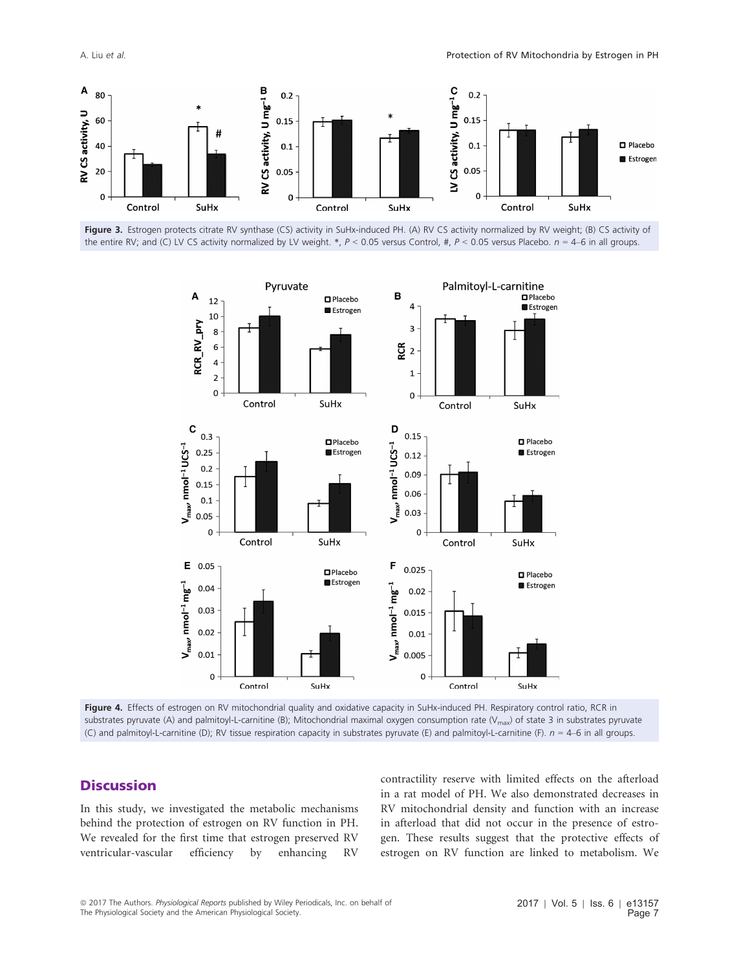A. Liu et al. Protection of RV Mitochondria by Estrogen in PH







Figure 4. Effects of estrogen on RV mitochondrial quality and oxidative capacity in SuHx-induced PH. Respiratory control ratio, RCR in substrates pyruvate (A) and palmitoyl-L-carnitine (B); Mitochondrial maximal oxygen consumption rate (V<sub>max</sub>) of state 3 in substrates pyruvate (C) and palmitoyl-L-carnitine (D); RV tissue respiration capacity in substrates pyruvate (E) and palmitoyl-L-carnitine (F).  $n = 4-6$  in all groups.

# **Discussion**

In this study, we investigated the metabolic mechanisms behind the protection of estrogen on RV function in PH. We revealed for the first time that estrogen preserved RV ventricular-vascular efficiency by enhancing RV

contractility reserve with limited effects on the afterload in a rat model of PH. We also demonstrated decreases in RV mitochondrial density and function with an increase in afterload that did not occur in the presence of estrogen. These results suggest that the protective effects of estrogen on RV function are linked to metabolism. We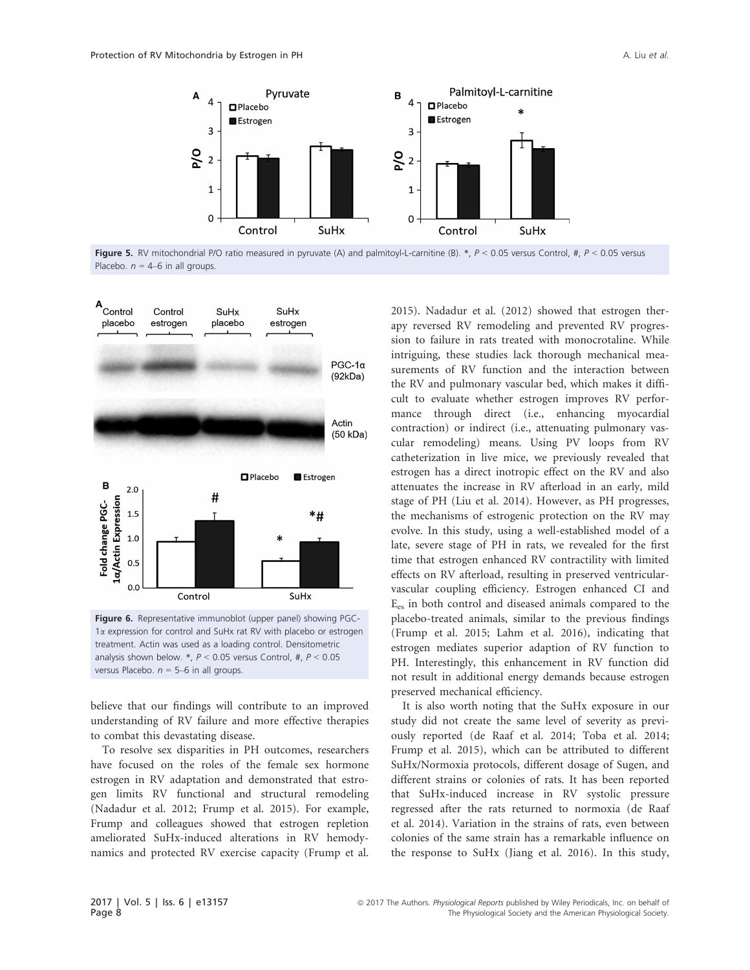

Figure 5. RV mitochondrial P/O ratio measured in pyruvate (A) and palmitoyl-L-carnitine (B). \*,  $P < 0.05$  versus Control, #,  $P < 0.05$  versus Placebo.  $n = 4-6$  in all groups.



treatment. Actin was used as a loading control. Densitometric analysis shown below.  $*, P < 0.05$  versus Control, #,  $P < 0.05$ versus Placebo.  $n = 5-6$  in all groups.

believe that our findings will contribute to an improved understanding of RV failure and more effective therapies to combat this devastating disease.

To resolve sex disparities in PH outcomes, researchers have focused on the roles of the female sex hormone estrogen in RV adaptation and demonstrated that estrogen limits RV functional and structural remodeling (Nadadur et al. 2012; Frump et al. 2015). For example, Frump and colleagues showed that estrogen repletion ameliorated SuHx-induced alterations in RV hemodynamics and protected RV exercise capacity (Frump et al.

2015). Nadadur et al. (2012) showed that estrogen therapy reversed RV remodeling and prevented RV progression to failure in rats treated with monocrotaline. While intriguing, these studies lack thorough mechanical measurements of RV function and the interaction between the RV and pulmonary vascular bed, which makes it difficult to evaluate whether estrogen improves RV performance through direct (i.e., enhancing myocardial contraction) or indirect (i.e., attenuating pulmonary vascular remodeling) means. Using PV loops from RV catheterization in live mice, we previously revealed that estrogen has a direct inotropic effect on the RV and also attenuates the increase in RV afterload in an early, mild stage of PH (Liu et al. 2014). However, as PH progresses, the mechanisms of estrogenic protection on the RV may evolve. In this study, using a well-established model of a late, severe stage of PH in rats, we revealed for the first time that estrogen enhanced RV contractility with limited effects on RV afterload, resulting in preserved ventricularvascular coupling efficiency. Estrogen enhanced CI and Ees in both control and diseased animals compared to the placebo-treated animals, similar to the previous findings (Frump et al. 2015; Lahm et al. 2016), indicating that estrogen mediates superior adaption of RV function to PH. Interestingly, this enhancement in RV function did not result in additional energy demands because estrogen preserved mechanical efficiency.

It is also worth noting that the SuHx exposure in our study did not create the same level of severity as previously reported (de Raaf et al. 2014; Toba et al. 2014; Frump et al. 2015), which can be attributed to different SuHx/Normoxia protocols, different dosage of Sugen, and different strains or colonies of rats. It has been reported that SuHx-induced increase in RV systolic pressure regressed after the rats returned to normoxia (de Raaf et al. 2014). Variation in the strains of rats, even between colonies of the same strain has a remarkable influence on the response to SuHx (Jiang et al. 2016). In this study,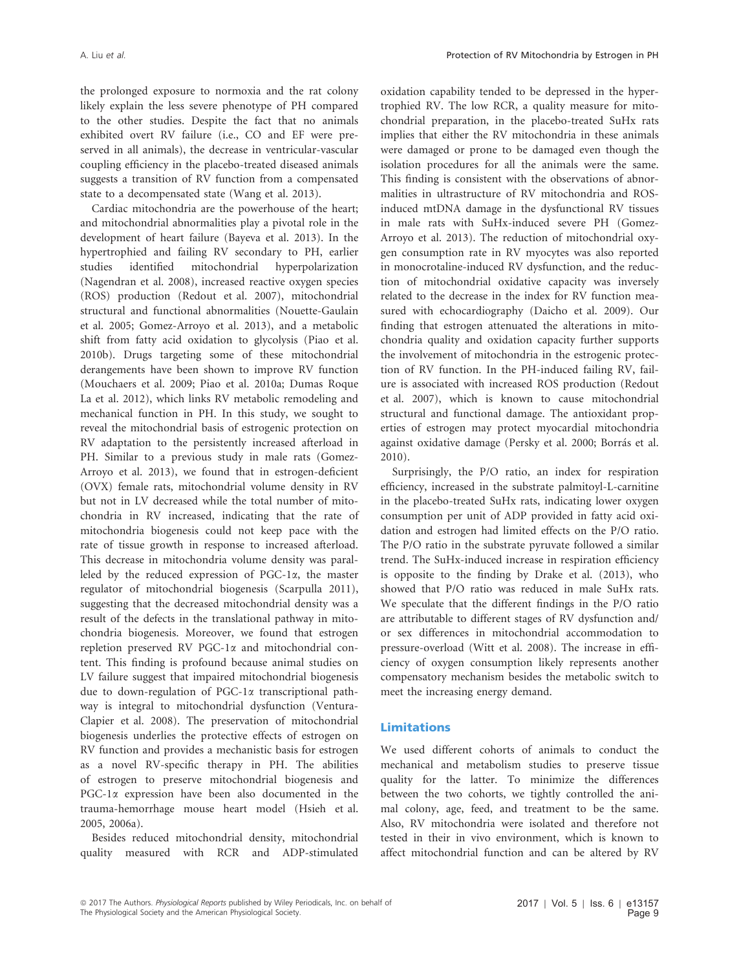the prolonged exposure to normoxia and the rat colony likely explain the less severe phenotype of PH compared to the other studies. Despite the fact that no animals exhibited overt RV failure (i.e., CO and EF were preserved in all animals), the decrease in ventricular-vascular coupling efficiency in the placebo-treated diseased animals suggests a transition of RV function from a compensated state to a decompensated state (Wang et al. 2013).

Cardiac mitochondria are the powerhouse of the heart; and mitochondrial abnormalities play a pivotal role in the development of heart failure (Bayeva et al. 2013). In the hypertrophied and failing RV secondary to PH, earlier studies identified mitochondrial hyperpolarization (Nagendran et al. 2008), increased reactive oxygen species (ROS) production (Redout et al. 2007), mitochondrial structural and functional abnormalities (Nouette-Gaulain et al. 2005; Gomez-Arroyo et al. 2013), and a metabolic shift from fatty acid oxidation to glycolysis (Piao et al. 2010b). Drugs targeting some of these mitochondrial derangements have been shown to improve RV function (Mouchaers et al. 2009; Piao et al. 2010a; Dumas Roque La et al. 2012), which links RV metabolic remodeling and mechanical function in PH. In this study, we sought to reveal the mitochondrial basis of estrogenic protection on RV adaptation to the persistently increased afterload in PH. Similar to a previous study in male rats (Gomez-Arroyo et al. 2013), we found that in estrogen-deficient (OVX) female rats, mitochondrial volume density in RV but not in LV decreased while the total number of mitochondria in RV increased, indicating that the rate of mitochondria biogenesis could not keep pace with the rate of tissue growth in response to increased afterload. This decrease in mitochondria volume density was paralleled by the reduced expression of PGC-1a, the master regulator of mitochondrial biogenesis (Scarpulla 2011), suggesting that the decreased mitochondrial density was a result of the defects in the translational pathway in mitochondria biogenesis. Moreover, we found that estrogen repletion preserved RV PGC-1a and mitochondrial content. This finding is profound because animal studies on LV failure suggest that impaired mitochondrial biogenesis due to down-regulation of PGC-1a transcriptional pathway is integral to mitochondrial dysfunction (Ventura-Clapier et al. 2008). The preservation of mitochondrial biogenesis underlies the protective effects of estrogen on RV function and provides a mechanistic basis for estrogen as a novel RV-specific therapy in PH. The abilities of estrogen to preserve mitochondrial biogenesis and PGC-1 $\alpha$  expression have been also documented in the trauma-hemorrhage mouse heart model (Hsieh et al. 2005, 2006a).

Besides reduced mitochondrial density, mitochondrial quality measured with RCR and ADP-stimulated

oxidation capability tended to be depressed in the hypertrophied RV. The low RCR, a quality measure for mitochondrial preparation, in the placebo-treated SuHx rats implies that either the RV mitochondria in these animals were damaged or prone to be damaged even though the isolation procedures for all the animals were the same. This finding is consistent with the observations of abnormalities in ultrastructure of RV mitochondria and ROSinduced mtDNA damage in the dysfunctional RV tissues in male rats with SuHx-induced severe PH (Gomez-Arroyo et al. 2013). The reduction of mitochondrial oxygen consumption rate in RV myocytes was also reported in monocrotaline-induced RV dysfunction, and the reduction of mitochondrial oxidative capacity was inversely related to the decrease in the index for RV function measured with echocardiography (Daicho et al. 2009). Our finding that estrogen attenuated the alterations in mitochondria quality and oxidation capacity further supports the involvement of mitochondria in the estrogenic protection of RV function. In the PH-induced failing RV, failure is associated with increased ROS production (Redout et al. 2007), which is known to cause mitochondrial structural and functional damage. The antioxidant properties of estrogen may protect myocardial mitochondria against oxidative damage (Persky et al. 2000; Borras et al. 2010).

Surprisingly, the P/O ratio, an index for respiration efficiency, increased in the substrate palmitoyl-L-carnitine in the placebo-treated SuHx rats, indicating lower oxygen consumption per unit of ADP provided in fatty acid oxidation and estrogen had limited effects on the P/O ratio. The P/O ratio in the substrate pyruvate followed a similar trend. The SuHx-induced increase in respiration efficiency is opposite to the finding by Drake et al. (2013), who showed that P/O ratio was reduced in male SuHx rats. We speculate that the different findings in the P/O ratio are attributable to different stages of RV dysfunction and/ or sex differences in mitochondrial accommodation to pressure-overload (Witt et al. 2008). The increase in efficiency of oxygen consumption likely represents another compensatory mechanism besides the metabolic switch to meet the increasing energy demand.

#### Limitations

We used different cohorts of animals to conduct the mechanical and metabolism studies to preserve tissue quality for the latter. To minimize the differences between the two cohorts, we tightly controlled the animal colony, age, feed, and treatment to be the same. Also, RV mitochondria were isolated and therefore not tested in their in vivo environment, which is known to affect mitochondrial function and can be altered by RV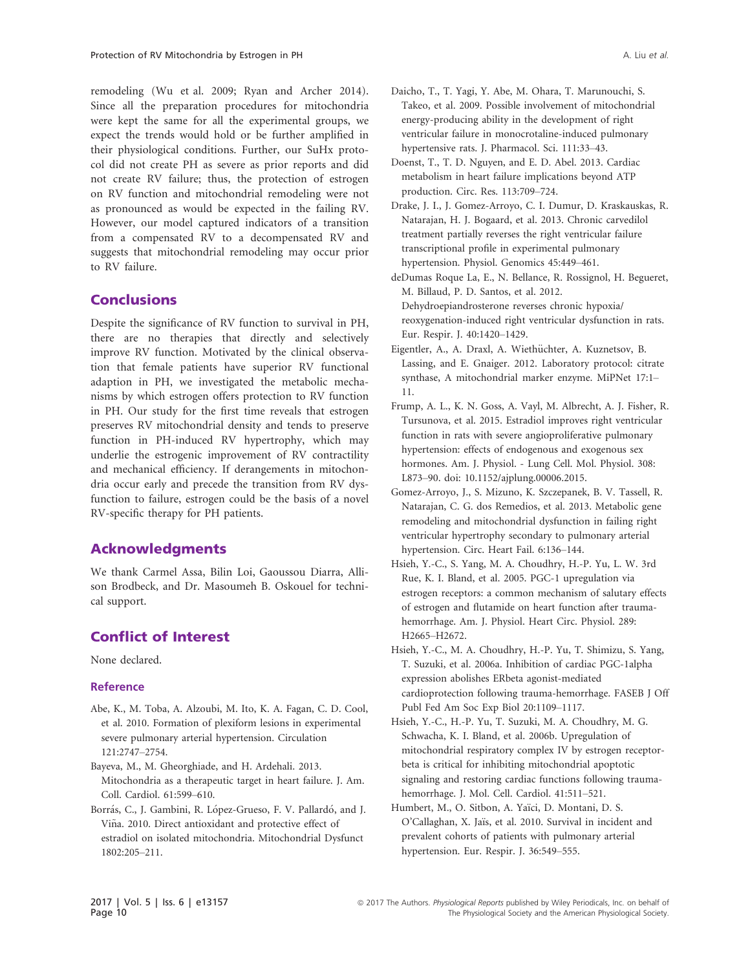remodeling (Wu et al. 2009; Ryan and Archer 2014). Since all the preparation procedures for mitochondria were kept the same for all the experimental groups, we expect the trends would hold or be further amplified in their physiological conditions. Further, our SuHx protocol did not create PH as severe as prior reports and did not create RV failure; thus, the protection of estrogen on RV function and mitochondrial remodeling were not as pronounced as would be expected in the failing RV. However, our model captured indicators of a transition from a compensated RV to a decompensated RV and suggests that mitochondrial remodeling may occur prior to RV failure.

# **Conclusions**

Despite the significance of RV function to survival in PH, there are no therapies that directly and selectively improve RV function. Motivated by the clinical observation that female patients have superior RV functional adaption in PH, we investigated the metabolic mechanisms by which estrogen offers protection to RV function in PH. Our study for the first time reveals that estrogen preserves RV mitochondrial density and tends to preserve function in PH-induced RV hypertrophy, which may underlie the estrogenic improvement of RV contractility and mechanical efficiency. If derangements in mitochondria occur early and precede the transition from RV dysfunction to failure, estrogen could be the basis of a novel RV-specific therapy for PH patients.

# Acknowledgments

We thank Carmel Assa, Bilin Loi, Gaoussou Diarra, Allison Brodbeck, and Dr. Masoumeh B. Oskouel for technical support.

# Conflict of Interest

None declared.

#### Reference

- Abe, K., M. Toba, A. Alzoubi, M. Ito, K. A. Fagan, C. D. Cool, et al. 2010. Formation of plexiform lesions in experimental severe pulmonary arterial hypertension. Circulation 121:2747–2754.
- Bayeva, M., M. Gheorghiade, and H. Ardehali. 2013. Mitochondria as a therapeutic target in heart failure. J. Am. Coll. Cardiol. 61:599–610.
- Borrás, C., J. Gambini, R. López-Grueso, F. V. Pallardó, and J. Viña. 2010. Direct antioxidant and protective effect of estradiol on isolated mitochondria. Mitochondrial Dysfunct 1802:205–211.
- Doenst, T., T. D. Nguyen, and E. D. Abel. 2013. Cardiac metabolism in heart failure implications beyond ATP production. Circ. Res. 113:709–724.
- Drake, J. I., J. Gomez-Arroyo, C. I. Dumur, D. Kraskauskas, R. Natarajan, H. J. Bogaard, et al. 2013. Chronic carvedilol treatment partially reverses the right ventricular failure transcriptional profile in experimental pulmonary hypertension. Physiol. Genomics 45:449–461.
- deDumas Roque La, E., N. Bellance, R. Rossignol, H. Begueret, M. Billaud, P. D. Santos, et al. 2012. Dehydroepiandrosterone reverses chronic hypoxia/ reoxygenation-induced right ventricular dysfunction in rats. Eur. Respir. J. 40:1420–1429.
- Eigentler, A., A. Draxl, A. Wiethüchter, A. Kuznetsov, B. Lassing, and E. Gnaiger. 2012. Laboratory protocol: citrate synthase, A mitochondrial marker enzyme. MiPNet 17:1– 11.
- Frump, A. L., K. N. Goss, A. Vayl, M. Albrecht, A. J. Fisher, R. Tursunova, et al. 2015. Estradiol improves right ventricular function in rats with severe angioproliferative pulmonary hypertension: effects of endogenous and exogenous sex hormones. Am. J. Physiol. - Lung Cell. Mol. Physiol. 308: L873–90. doi: [10.1152/ajplung.00006.2015](https://doi.org/10.1152/ajplung.00006.2015).
- Gomez-Arroyo, J., S. Mizuno, K. Szczepanek, B. V. Tassell, R. Natarajan, C. G. dos Remedios, et al. 2013. Metabolic gene remodeling and mitochondrial dysfunction in failing right ventricular hypertrophy secondary to pulmonary arterial hypertension. Circ. Heart Fail. 6:136–144.
- Hsieh, Y.-C., S. Yang, M. A. Choudhry, H.-P. Yu, L. W. 3rd Rue, K. I. Bland, et al. 2005. PGC-1 upregulation via estrogen receptors: a common mechanism of salutary effects of estrogen and flutamide on heart function after traumahemorrhage. Am. J. Physiol. Heart Circ. Physiol. 289: H2665–H2672.
- Hsieh, Y.-C., M. A. Choudhry, H.-P. Yu, T. Shimizu, S. Yang, T. Suzuki, et al. 2006a. Inhibition of cardiac PGC-1alpha expression abolishes ERbeta agonist-mediated cardioprotection following trauma-hemorrhage. FASEB J Off Publ Fed Am Soc Exp Biol 20:1109–1117.
- Hsieh, Y.-C., H.-P. Yu, T. Suzuki, M. A. Choudhry, M. G. Schwacha, K. I. Bland, et al. 2006b. Upregulation of mitochondrial respiratory complex IV by estrogen receptorbeta is critical for inhibiting mitochondrial apoptotic signaling and restoring cardiac functions following traumahemorrhage. J. Mol. Cell. Cardiol. 41:511–521.
- Humbert, M., O. Sitbon, A. Yaïci, D. Montani, D. S. O'Callaghan, X. Jaïs, et al. 2010. Survival in incident and prevalent cohorts of patients with pulmonary arterial hypertension. Eur. Respir. J. 36:549–555.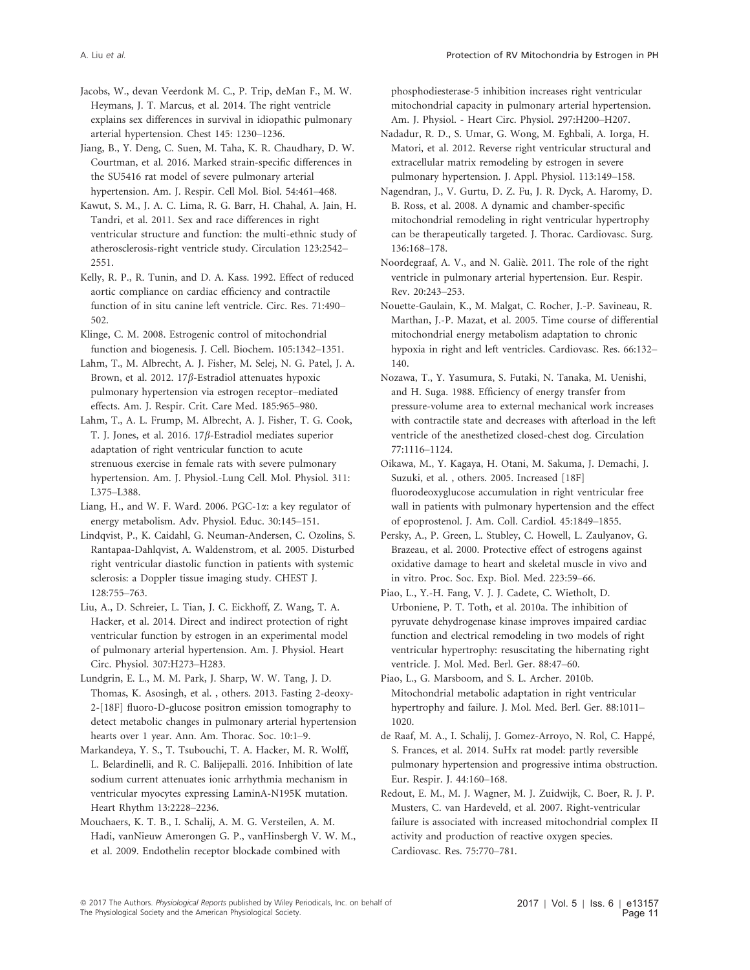Jacobs, W., devan Veerdonk M. C., P. Trip, deMan F., M. W. Heymans, J. T. Marcus, et al. 2014. The right ventricle explains sex differences in survival in idiopathic pulmonary arterial hypertension. Chest 145: 1230–1236.

Jiang, B., Y. Deng, C. Suen, M. Taha, K. R. Chaudhary, D. W. Courtman, et al. 2016. Marked strain-specific differences in the SU5416 rat model of severe pulmonary arterial hypertension. Am. J. Respir. Cell Mol. Biol. 54:461–468.

Kawut, S. M., J. A. C. Lima, R. G. Barr, H. Chahal, A. Jain, H. Tandri, et al. 2011. Sex and race differences in right ventricular structure and function: the multi-ethnic study of atherosclerosis-right ventricle study. Circulation 123:2542– 2551.

Kelly, R. P., R. Tunin, and D. A. Kass. 1992. Effect of reduced aortic compliance on cardiac efficiency and contractile function of in situ canine left ventricle. Circ. Res. 71:490– 502.

Klinge, C. M. 2008. Estrogenic control of mitochondrial function and biogenesis. J. Cell. Biochem. 105:1342–1351.

Lahm, T., M. Albrecht, A. J. Fisher, M. Selej, N. G. Patel, J. A. Brown, et al. 2012. 17 $\beta$ -Estradiol attenuates hypoxic pulmonary hypertension via estrogen receptor–mediated effects. Am. J. Respir. Crit. Care Med. 185:965–980.

Lahm, T., A. L. Frump, M. Albrecht, A. J. Fisher, T. G. Cook, T. J. Jones, et al. 2016. 17 $\beta$ -Estradiol mediates superior adaptation of right ventricular function to acute strenuous exercise in female rats with severe pulmonary hypertension. Am. J. Physiol.-Lung Cell. Mol. Physiol. 311: L375–L388.

Liang, H., and W. F. Ward. 2006. PGC-1 $\alpha$ : a key regulator of energy metabolism. Adv. Physiol. Educ. 30:145–151.

Lindqvist, P., K. Caidahl, G. Neuman-Andersen, C. Ozolins, S. Rantapaa-Dahlqvist, A. Waldenstrom, et al. 2005. Disturbed right ventricular diastolic function in patients with systemic sclerosis: a Doppler tissue imaging study. CHEST J. 128:755–763.

Liu, A., D. Schreier, L. Tian, J. C. Eickhoff, Z. Wang, T. A. Hacker, et al. 2014. Direct and indirect protection of right ventricular function by estrogen in an experimental model of pulmonary arterial hypertension. Am. J. Physiol. Heart Circ. Physiol. 307:H273–H283.

Lundgrin, E. L., M. M. Park, J. Sharp, W. W. Tang, J. D. Thomas, K. Asosingh, et al. , others. 2013. Fasting 2-deoxy-2-[18F] fluoro-D-glucose positron emission tomography to detect metabolic changes in pulmonary arterial hypertension hearts over 1 year. Ann. Am. Thorac. Soc. 10:1–9.

Markandeya, Y. S., T. Tsubouchi, T. A. Hacker, M. R. Wolff, L. Belardinelli, and R. C. Balijepalli. 2016. Inhibition of late sodium current attenuates ionic arrhythmia mechanism in ventricular myocytes expressing LaminA-N195K mutation. Heart Rhythm 13:2228–2236.

Mouchaers, K. T. B., I. Schalij, A. M. G. Versteilen, A. M. Hadi, vanNieuw Amerongen G. P., vanHinsbergh V. W. M., et al. 2009. Endothelin receptor blockade combined with

phosphodiesterase-5 inhibition increases right ventricular mitochondrial capacity in pulmonary arterial hypertension. Am. J. Physiol. - Heart Circ. Physiol. 297:H200–H207.

Nadadur, R. D., S. Umar, G. Wong, M. Eghbali, A. Iorga, H. Matori, et al. 2012. Reverse right ventricular structural and extracellular matrix remodeling by estrogen in severe pulmonary hypertension. J. Appl. Physiol. 113:149–158.

Nagendran, J., V. Gurtu, D. Z. Fu, J. R. Dyck, A. Haromy, D. B. Ross, et al. 2008. A dynamic and chamber-specific mitochondrial remodeling in right ventricular hypertrophy can be therapeutically targeted. J. Thorac. Cardiovasc. Surg. 136:168–178.

Noordegraaf, A. V., and N. Galie. 2011. The role of the right ventricle in pulmonary arterial hypertension. Eur. Respir. Rev. 20:243–253.

Nouette-Gaulain, K., M. Malgat, C. Rocher, J.-P. Savineau, R. Marthan, J.-P. Mazat, et al. 2005. Time course of differential mitochondrial energy metabolism adaptation to chronic hypoxia in right and left ventricles. Cardiovasc. Res. 66:132– 140.

Nozawa, T., Y. Yasumura, S. Futaki, N. Tanaka, M. Uenishi, and H. Suga. 1988. Efficiency of energy transfer from pressure-volume area to external mechanical work increases with contractile state and decreases with afterload in the left ventricle of the anesthetized closed-chest dog. Circulation 77:1116–1124.

Oikawa, M., Y. Kagaya, H. Otani, M. Sakuma, J. Demachi, J. Suzuki, et al. , others. 2005. Increased [18F] fluorodeoxyglucose accumulation in right ventricular free wall in patients with pulmonary hypertension and the effect of epoprostenol. J. Am. Coll. Cardiol. 45:1849–1855.

Persky, A., P. Green, L. Stubley, C. Howell, L. Zaulyanov, G. Brazeau, et al. 2000. Protective effect of estrogens against oxidative damage to heart and skeletal muscle in vivo and in vitro. Proc. Soc. Exp. Biol. Med. 223:59–66.

Piao, L., Y.-H. Fang, V. J. J. Cadete, C. Wietholt, D. Urboniene, P. T. Toth, et al. 2010a. The inhibition of pyruvate dehydrogenase kinase improves impaired cardiac function and electrical remodeling in two models of right ventricular hypertrophy: resuscitating the hibernating right ventricle. J. Mol. Med. Berl. Ger. 88:47–60.

Piao, L., G. Marsboom, and S. L. Archer. 2010b. Mitochondrial metabolic adaptation in right ventricular hypertrophy and failure. J. Mol. Med. Berl. Ger. 88:1011– 1020.

de Raaf, M. A., I. Schalij, J. Gomez-Arroyo, N. Rol, C. Happe, S. Frances, et al. 2014. SuHx rat model: partly reversible pulmonary hypertension and progressive intima obstruction. Eur. Respir. J. 44:160–168.

Redout, E. M., M. J. Wagner, M. J. Zuidwijk, C. Boer, R. J. P. Musters, C. van Hardeveld, et al. 2007. Right-ventricular failure is associated with increased mitochondrial complex II activity and production of reactive oxygen species. Cardiovasc. Res. 75:770–781.